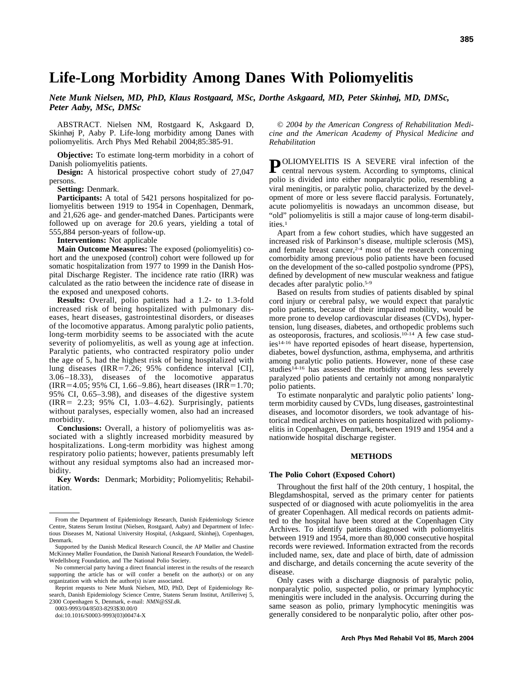# **Life-Long Morbidity Among Danes With Poliomyelitis**

*Nete Munk Nielsen, MD, PhD, Klaus Rostgaard, MSc, Dorthe Askgaard, MD, Peter Skinhøj, MD, DMSc, Peter Aaby, MSc, DMSc*

ABSTRACT. Nielsen NM, Rostgaard K, Askgaard D, Skinhøj P, Aaby P. Life-long morbidity among Danes with poliomyelitis. Arch Phys Med Rehabil 2004;85:385-91.

**Objective:** To estimate long-term morbidity in a cohort of Danish poliomyelitis patients.

**Design:** A historical prospective cohort study of 27,047 persons.

**Setting:** Denmark.

**Participants:** A total of 5421 persons hospitalized for poliomyelitis between 1919 to 1954 in Copenhagen, Denmark, and 21,626 age- and gender-matched Danes. Participants were followed up on average for 20.6 years, yielding a total of 555,884 person-years of follow-up.

**Interventions:** Not applicable

**Main Outcome Measures:** The exposed (poliomyelitis) cohort and the unexposed (control) cohort were followed up for somatic hospitalization from 1977 to 1999 in the Danish Hospital Discharge Register. The incidence rate ratio (IRR) was calculated as the ratio between the incidence rate of disease in the exposed and unexposed cohorts.

**Results:** Overall, polio patients had a 1.2- to 1.3-fold increased risk of being hospitalized with pulmonary diseases, heart diseases, gastrointestinal disorders, or diseases of the locomotive apparatus. Among paralytic polio patients, long-term morbidity seems to be associated with the acute severity of poliomyelitis, as well as young age at infection. Paralytic patients, who contracted respiratory polio under the age of 5, had the highest risk of being hospitalized with lung diseases (IRR=7.26; 95% confidence interval [CI], 3.06–18.33), diseases of the locomotive apparatus  $IRR = 4.05$ ; 95% CI, 1.66–9.86), heart diseases (IRR=1.70; 95% CI, 0.65–3.98), and diseases of the digestive system (IRR 2.23; 95% CI, 1.03–4.62). Surprisingly, patients without paralyses, especially women, also had an increased morbidity.

**Conclusions:** Overall, a history of poliomyelitis was associated with a slightly increased morbidity measured by hospitalizations. Long-term morbidity was highest among respiratory polio patients; however, patients presumably left without any residual symptoms also had an increased morbidity.

**Key Words:** Denmark; Morbidity; Poliomyelitis; Rehabilitation.

0003-9993/04/8503-8293\$30.00/0

doi:10.1016/S0003-9993(03)00474-X

© *2004 by the American Congress of Rehabilitation Medicine and the American Academy of Physical Medicine and Rehabilitation*

POLIOMYELITIS IS A SEVERE viral infection of the central nervous system. According to symptoms, clinical polio is divided into either nonparalytic polio, resembling a viral meningitis, or paralytic polio, characterized by the development of more or less severe flaccid paralysis. Fortunately, acute poliomyelitis is nowadays an uncommon disease, but "old" poliomyelitis is still a major cause of long-term disabilities.1

Apart from a few cohort studies, which have suggested an increased risk of Parkinson's disease, multiple sclerosis (MS), and female breast cancer,<sup>2-4</sup> most of the research concerning comorbidity among previous polio patients have been focused on the development of the so-called postpolio syndrome (PPS), defined by development of new muscular weakness and fatigue decades after paralytic polio.5-9

Based on results from studies of patients disabled by spinal cord injury or cerebral palsy, we would expect that paralytic polio patients, because of their impaired mobility, would be more prone to develop cardiovascular diseases (CVDs), hypertension, lung diseases, diabetes, and orthopedic problems such as osteoporosis, fractures, and scoliosis.10-14 A few case studies14-16 have reported episodes of heart disease, hypertension, diabetes, bowel dysfunction, asthma, emphysema, and arthritis among paralytic polio patients. However, none of these case studies<sup>14-16</sup> has assessed the morbidity among less severely paralyzed polio patients and certainly not among nonparalytic polio patients.

To estimate nonparalytic and paralytic polio patients' longterm morbidity caused by CVDs, lung diseases, gastrointestinal diseases, and locomotor disorders, we took advantage of historical medical archives on patients hospitalized with poliomyelitis in Copenhagen, Denmark, between 1919 and 1954 and a nationwide hospital discharge register.

### **METHODS**

#### **The Polio Cohort (Exposed Cohort)**

Throughout the first half of the 20th century, 1 hospital, the Blegdamshospital, served as the primary center for patients suspected of or diagnosed with acute poliomyelitis in the area of greater Copenhagen. All medical records on patients admitted to the hospital have been stored at the Copenhagen City Archives. To identify patients diagnosed with poliomyelitis between 1919 and 1954, more than 80,000 consecutive hospital records were reviewed. Information extracted from the records included name, sex, date and place of birth, date of admission and discharge, and details concerning the acute severity of the disease.

Only cases with a discharge diagnosis of paralytic polio, nonparalytic polio, suspected polio, or primary lymphocytic meningitis were included in the analysis. Occurring during the same season as polio, primary lymphocytic meningitis was generally considered to be nonparalytic polio, after other pos-

From the Department of Epidemiology Research, Danish Epidemiology Science Centre, Statens Serum Institut (Nielsen, Rostgaard, Aaby) and Department of Infectious Diseases M, National University Hospital, (Askgaard, Skinhøj), Copenhagen, Denmark.

Supported by the Danish Medical Research Council, the AP Møller and Chastine McKinney Møller Foundation, the Danish National Research Foundation, the Wedell-Wedellsborg Foundation, and The National Polio Society.

No commercial party having a direct financial interest in the results of the research supporting the article has or will confer a benefit on the author(s) or on any organization with which the author(s) is/are associated.

Reprint requests to Nete Munk Nielsen, MD, PhD, Dept of Epidemiology Research, Danish Epidemiology Science Centre, Statens Serum Institut, Artillerivej 5, 2300 Copenhagen S, Denmark, e-mail: *NMN@SSI.dk.*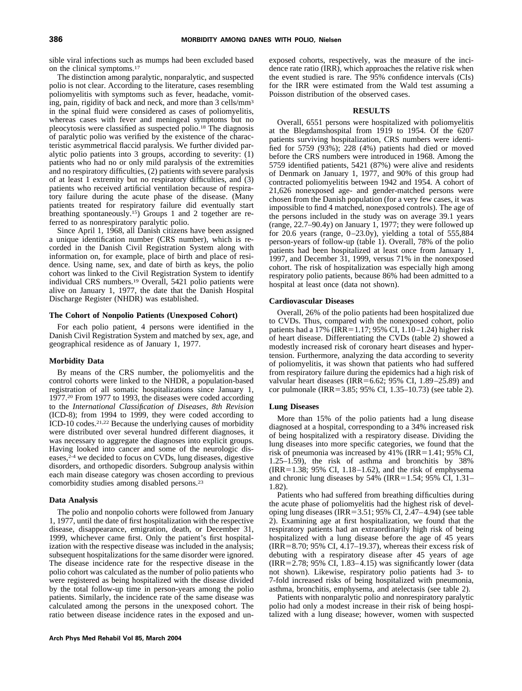sible viral infections such as mumps had been excluded based on the clinical symptoms.17

The distinction among paralytic, nonparalytic, and suspected polio is not clear. According to the literature, cases resembling poliomyelitis with symptoms such as fever, headache, vomiting, pain, rigidity of back and neck, and more than 3 cells/mm3 in the spinal fluid were considered as cases of poliomyelitis, whereas cases with fever and meningeal symptoms but no pleocytosis were classified as suspected polio.18 The diagnosis of paralytic polio was verified by the existence of the characteristic asymmetrical flaccid paralysis. We further divided paralytic polio patients into 3 groups, according to severity: (1) patients who had no or only mild paralysis of the extremities and no respiratory difficulties, (2) patients with severe paralysis of at least 1 extremity but no respiratory difficulties, and (3) patients who received artificial ventilation because of respiratory failure during the acute phase of the disease. (Many patients treated for respiratory failure did eventually start breathing spontaneously.<sup>15</sup>) Groups 1 and 2 together are referred to as nonrespiratory paralytic polio.

Since April 1, 1968, all Danish citizens have been assigned a unique identification number (CRS number), which is recorded in the Danish Civil Registration System along with information on, for example, place of birth and place of residence. Using name, sex, and date of birth as keys, the polio cohort was linked to the Civil Registration System to identify individual CRS numbers.19 Overall, 5421 polio patients were alive on January 1, 1977, the date that the Danish Hospital Discharge Register (NHDR) was established.

#### **The Cohort of Nonpolio Patients (Unexposed Cohort)**

For each polio patient, 4 persons were identified in the Danish Civil Registration System and matched by sex, age, and geographical residence as of January 1, 1977.

#### **Morbidity Data**

By means of the CRS number, the poliomyelitis and the control cohorts were linked to the NHDR, a population-based registration of all somatic hospitalizations since January 1, 1977.20 From 1977 to 1993, the diseases were coded according to the *International Classification of Diseases, 8th Revision* (ICD-8); from 1994 to 1999, they were coded according to ICD-10 codes.21,22 Because the underlying causes of morbidity were distributed over several hundred different diagnoses, it was necessary to aggregate the diagnoses into explicit groups. Having looked into cancer and some of the neurologic diseases,<sup>2-4</sup> we decided to focus on CVDs, lung diseases, digestive disorders, and orthopedic disorders. Subgroup analysis within each main disease category was chosen according to previous comorbidity studies among disabled persons.23

#### **Data Analysis**

The polio and nonpolio cohorts were followed from January 1, 1977, until the date of first hospitalization with the respective disease, disappearance, emigration, death, or December 31, 1999, whichever came first. Only the patient's first hospitalization with the respective disease was included in the analysis; subsequent hospitalizations for the same disorder were ignored. The disease incidence rate for the respective disease in the polio cohort was calculated as the number of polio patients who were registered as being hospitalized with the disease divided by the total follow-up time in person-years among the polio patients. Similarly, the incidence rate of the same disease was calculated among the persons in the unexposed cohort. The ratio between disease incidence rates in the exposed and unexposed cohorts, respectively, was the measure of the incidence rate ratio (IRR), which approaches the relative risk when the event studied is rare. The 95% confidence intervals (CIs) for the IRR were estimated from the Wald test assuming a Poisson distribution of the observed cases.

#### **RESULTS**

Overall, 6551 persons were hospitalized with poliomyelitis at the Blegdamshospital from 1919 to 1954. Of the 6207 patients surviving hospitalization, CRS numbers were identified for 5759 (93%); 228 (4%) patients had died or moved before the CRS numbers were introduced in 1968. Among the 5759 identified patients, 5421 (87%) were alive and residents of Denmark on January 1, 1977, and 90% of this group had contracted poliomyelitis between 1942 and 1954. A cohort of 21,626 nonexposed age- and gender-matched persons were chosen from the Danish population (for a very few cases, it was impossible to find 4 matched, nonexposed controls). The age of the persons included in the study was on average 39.1 years (range, 22.7–90.4y) on January 1, 1977; they were followed up for 20.6 years (range, 0–23.0y), yielding a total of 555,884 person-years of follow-up (table 1). Overall, 78% of the polio patients had been hospitalized at least once from January 1, 1997, and December 31, 1999, versus 71% in the nonexposed cohort. The risk of hospitalization was especially high among respiratory polio patients, because 86% had been admitted to a hospital at least once (data not shown).

#### **Cardiovascular Diseases**

Overall, 26% of the polio patients had been hospitalized due to CVDs. Thus, compared with the nonexposed cohort, polio patients had a 17% (IRR=1.17; 95% CI, 1.10–1.24) higher risk of heart disease. Differentiating the CVDs (table 2) showed a modestly increased risk of coronary heart diseases and hypertension. Furthermore, analyzing the data according to severity of poliomyelitis, it was shown that patients who had suffered from respiratory failure during the epidemics had a high risk of valvular heart diseases (IRR=6.62; 95% CI,  $1.89-25.89$ ) and cor pulmonale (IRR=3.85; 95% CI, 1.35–10.73) (see table 2).

#### **Lung Diseases**

More than 15% of the polio patients had a lung disease diagnosed at a hospital, corresponding to a 34% increased risk of being hospitalized with a respiratory disease. Dividing the lung diseases into more specific categories, we found that the risk of pneumonia was increased by  $41\%$  (IRR=1.41; 95% CI, 1.25–1.59), the risk of asthma and bronchitis by 38%  $IIRR = 1.38$ ; 95% CI, 1.18–1.62), and the risk of emphysema and chronic lung diseases by  $54\%$  (IRR=1.54; 95% CI, 1.31– 1.82).

Patients who had suffered from breathing difficulties during the acute phase of poliomyelitis had the highest risk of developing lung diseases (IRR= $3.51$ ; 95% CI, 2.47–4.94) (see table 2). Examining age at first hospitalization, we found that the respiratory patients had an extraordinarily high risk of being hospitalized with a lung disease before the age of 45 years  $(IRR = 8.70; 95\% \text{ CI}, 4.17-19.37)$ , whereas their excess risk of debuting with a respiratory disease after 45 years of age  $IIRR = 2.78$ ; 95% CI, 1.83–4.15) was significantly lower (data not shown). Likewise, respiratory polio patients had 3- to 7-fold increased risks of being hospitalized with pneumonia, asthma, bronchitis, emphysema, and atelectasis (see table 2).

Patients with nonparalytic polio and nonrespiratory paralytic polio had only a modest increase in their risk of being hospitalized with a lung disease; however, women with suspected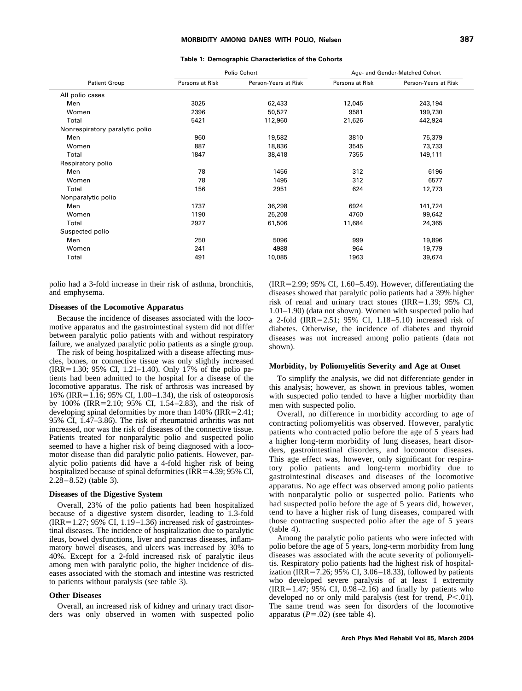|                                |                 | Polio Cohort         |                 | Age- and Gender-Matched Cohort |  |  |  |
|--------------------------------|-----------------|----------------------|-----------------|--------------------------------|--|--|--|
| <b>Patient Group</b>           | Persons at Risk | Person-Years at Risk | Persons at Risk | Person-Years at Risk           |  |  |  |
| All polio cases                |                 |                      |                 |                                |  |  |  |
| Men                            | 3025            | 62,433               | 12,045          | 243,194                        |  |  |  |
| Women                          | 2396            | 50,527               | 9581            | 199,730                        |  |  |  |
| Total                          | 5421            | 112,960              | 21,626          | 442,924                        |  |  |  |
| Nonrespiratory paralytic polio |                 |                      |                 |                                |  |  |  |
| Men                            | 960             | 19,582               | 3810            | 75,379                         |  |  |  |
| Women                          | 887             | 18,836               | 3545            | 73,733                         |  |  |  |
| Total                          | 1847            | 38,418               | 7355            | 149,111                        |  |  |  |
| Respiratory polio              |                 |                      |                 |                                |  |  |  |
| Men                            | 78              | 1456                 | 312             | 6196                           |  |  |  |
| Women                          | 78              | 1495                 | 312             | 6577                           |  |  |  |
| Total                          | 156             | 2951                 | 624             | 12,773                         |  |  |  |
| Nonparalytic polio             |                 |                      |                 |                                |  |  |  |
| Men                            | 1737            | 36,298               | 6924            | 141,724                        |  |  |  |
| Women                          | 1190            | 25,208               | 4760            | 99,642                         |  |  |  |
| Total                          | 2927            | 61,506               | 11,684          | 24,365                         |  |  |  |
| Suspected polio                |                 |                      |                 |                                |  |  |  |
| Men                            | 250             | 5096                 | 999             | 19,896                         |  |  |  |
| Women                          | 241             | 4988                 | 964             | 19,779                         |  |  |  |
| Total                          | 491             | 10,085               | 1963            | 39,674                         |  |  |  |

**Table 1: Demographic Characteristics of the Cohorts**

polio had a 3-fold increase in their risk of asthma, bronchitis, and emphysema.

#### **Diseases of the Locomotive Apparatus**

Because the incidence of diseases associated with the locomotive apparatus and the gastrointestinal system did not differ between paralytic polio patients with and without respiratory failure, we analyzed paralytic polio patients as a single group.

The risk of being hospitalized with a disease affecting muscles, bones, or connective tissue was only slightly increased  $(IRR=1.30; 95% CI, 1.21–1.40)$ . Only 17% of the polio patients had been admitted to the hospital for a disease of the locomotive apparatus. The risk of arthrosis was increased by 16% (IRR=1.16; 95% CI, 1.00–1.34), the risk of osteoporosis by 100% (IRR=2.10; 95% CI, 1.54–2.83), and the risk of developing spinal deformities by more than  $140\%$  (IRR=2.41; 95% CI, 1.47–3.86). The risk of rheumatoid arthritis was not increased, nor was the risk of diseases of the connective tissue. Patients treated for nonparalytic polio and suspected polio seemed to have a higher risk of being diagnosed with a locomotor disease than did paralytic polio patients. However, paralytic polio patients did have a 4-fold higher risk of being hospitalized because of spinal deformities (IRR= $4.39$ ; 95% CI,  $2.28 - 8.52$ ) (table 3).

#### **Diseases of the Digestive System**

Overall, 23% of the polio patients had been hospitalized because of a digestive system disorder, leading to 1.3-fold  $(IRR=1.27; 95% CI, 1.19–1.36) increased risk of gastronites$ tinal diseases. The incidence of hospitalization due to paralytic ileus, bowel dysfunctions, liver and pancreas diseases, inflammatory bowel diseases, and ulcers was increased by 30% to 40%. Except for a 2-fold increased risk of paralytic ileus among men with paralytic polio, the higher incidence of diseases associated with the stomach and intestine was restricted to patients without paralysis (see table 3).

#### **Other Diseases**

Overall, an increased risk of kidney and urinary tract disorders was only observed in women with suspected polio  $(IRR = 2.99; 95% CI, 1.60–5.49)$ . However, differentiating the diseases showed that paralytic polio patients had a 39% higher risk of renal and urinary tract stones (IRR= $1.39$ ; 95% CI, 1.01–1.90) (data not shown). Women with suspected polio had a 2-fold (IRR=2.51; 95% CI,  $1.18-5.10$ ) increased risk of diabetes. Otherwise, the incidence of diabetes and thyroid diseases was not increased among polio patients (data not shown).

#### **Morbidity, by Poliomyelitis Severity and Age at Onset**

To simplify the analysis, we did not differentiate gender in this analysis; however, as shown in previous tables, women with suspected polio tended to have a higher morbidity than men with suspected polio.

Overall, no difference in morbidity according to age of contracting poliomyelitis was observed. However, paralytic patients who contracted polio before the age of 5 years had a higher long-term morbidity of lung diseases, heart disorders, gastrointestinal disorders, and locomotor diseases. This age effect was, however, only significant for respiratory polio patients and long-term morbidity due to gastrointestinal diseases and diseases of the locomotive apparatus. No age effect was observed among polio patients with nonparalytic polio or suspected polio. Patients who had suspected polio before the age of 5 years did, however, tend to have a higher risk of lung diseases, compared with those contracting suspected polio after the age of 5 years (table 4).

Among the paralytic polio patients who were infected with polio before the age of  $\frac{2}{5}$  years, long-term morbidity from lung diseases was associated with the acute severity of poliomyelitis. Respiratory polio patients had the highest risk of hospitalization (IRR $=7.26$ ; 95% CI, 3.06–18.33), followed by patients who developed severe paralysis of at least 1 extremity  $(IRR=1.47; 95% CI, 0.98–2.16)$  and finally by patients who developed no or only mild paralysis (test for trend,  $P < 01$ ). The same trend was seen for disorders of the locomotive apparatus  $(P=.02)$  (see table 4).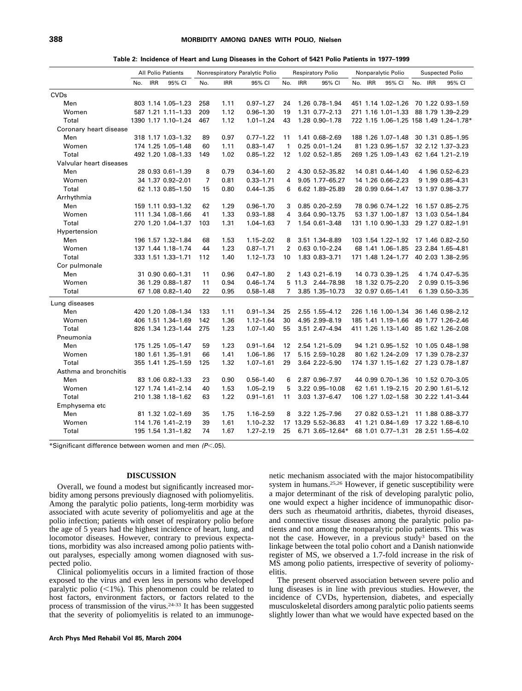#### **388 MORBIDITY AMONG DANES WITH POLIO, Nielsen**

| Table 2: Incidence of Heart and Lung Diseases in the Cohort of 5421 Polio Patients in 1977–1999 |  |  |  |  |
|-------------------------------------------------------------------------------------------------|--|--|--|--|
|-------------------------------------------------------------------------------------------------|--|--|--|--|

|                         |     |            | <b>All Polio Patients</b> | Nonrespiratory Paralytic Polio |            |               | <b>Respiratory Polio</b> | Nonparalytic Polio   |         |  | <b>Suspected Polio</b>               |  |         |                                        |
|-------------------------|-----|------------|---------------------------|--------------------------------|------------|---------------|--------------------------|----------------------|---------|--|--------------------------------------|--|---------|----------------------------------------|
|                         | No. | <b>IRR</b> | 95% CI                    | No.                            | <b>IRR</b> | 95% CI        | No.                      | 95% CI<br><b>IRR</b> | No. IRR |  | 95% CI                               |  | No. IRR | 95% CI                                 |
| <b>CVDs</b>             |     |            |                           |                                |            |               |                          |                      |         |  |                                      |  |         |                                        |
| Men                     |     |            | 803 1.14 1.05-1.23        | 258                            | 1.11       | $0.97 - 1.27$ | 24                       | 1.26 0.78-1.94       |         |  | 451 1.14 1.02-1.26 70 1.22 0.93-1.59 |  |         |                                        |
| Women                   |     |            | 587 1.21 1.11-1.33        | 209                            | 1.12       | $0.96 - 1.30$ | 19                       | 1.31 0.77-2.13       |         |  | 271 1.16 1.01-1.33                   |  |         | 88 1.79 1.39-2.29                      |
| Total                   |     |            | 1390 1.17 1.10-1.24       | 467                            | 1.12       | $1.01 - 1.24$ | 43                       | 1.28 0.90-1.78       |         |  |                                      |  |         | 722 1.15 1.06-1.25 158 1.49 1.24-1.78* |
| Coronary heart disease  |     |            |                           |                                |            |               |                          |                      |         |  |                                      |  |         |                                        |
| Men                     |     |            | 318 1.17 1.03-1.32        | 89                             | 0.97       | $0.77 - 1.22$ | 11                       | 1.41 0.68-2.69       |         |  | 188 1.26 1.07-1.48                   |  |         | 30 1.31 0.85-1.95                      |
| Women                   |     |            | 174 1.25 1.05-1.48        | 60                             | 1.11       | $0.83 - 1.47$ | $\mathbf{1}$             | $0.25 0.01 - 1.24$   |         |  | 81 1.23 0.95-1.57                    |  |         | 32 2.12 1.37-3.23                      |
| Total                   |     |            | 492 1.20 1.08-1.33        | 149                            | 1.02       | $0.85 - 1.22$ | 12                       | 1.02 0.52-1.85       |         |  | 269 1.25 1.09-1.43                   |  |         | 62 1.64 1.21-2.19                      |
| Valvular heart diseases |     |            |                           |                                |            |               |                          |                      |         |  |                                      |  |         |                                        |
| Men                     |     |            | 28 0.93 0.61-1.39         | 8                              | 0.79       | $0.34 - 1.60$ | $\overline{2}$           | 4.30 0.52-35.82      |         |  | 14 0.81 0.44-1.40                    |  |         | 4 1.96 0.52-6.23                       |
| Women                   |     |            | 34 1.37 0.92-2.01         | $\overline{7}$                 | 0.81       | $0.33 - 1.71$ | 4                        | 9.05 1.77-65.27      |         |  | 14 1.26 0.66-2.23                    |  |         | 9 1.99 0.85-4.31                       |
| Total                   |     |            | 62 1.13 0.85-1.50         | 15                             | 0.80       | $0.44 - 1.35$ | 6                        | 6.62 1.89-25.89      |         |  | 28 0.99 0.64-1.47                    |  |         | 13 1.97 0.98-3.77                      |
| Arrhythmia              |     |            |                           |                                |            |               |                          |                      |         |  |                                      |  |         |                                        |
| Men                     |     |            | 159 1.11 0.93-1.32        | 62                             | 1.29       | $0.96 - 1.70$ | 3                        | 0.85 0.20-2.59       |         |  | 78 0.96 0.74-1.22                    |  |         | 16 1.57 0.85-2.75                      |
| Women                   |     |            | 111 1.34 1.08-1.66        | 41                             | 1.33       | $0.93 - 1.88$ | 4                        | 3.64 0.90-13.75      |         |  | 53 1.37 1.00-1.87                    |  |         | 13 1.03 0.54-1.84                      |
| Total                   |     |            | 270 1.20 1.04-1.37        | 103                            | 1.31       | 1.04-1.63     | 7                        | 1.54 0.61-3.48       |         |  | 131 1.10 0.90-1.33                   |  |         | 29 1.27 0.82-1.91                      |
| Hypertension            |     |            |                           |                                |            |               |                          |                      |         |  |                                      |  |         |                                        |
| Men                     |     |            | 196 1.57 1.32-1.84        | 68                             | 1.53       | $1.15 - 2.02$ | 8                        | 3.51 1.34-8.89       |         |  | 103 1.54 1.22-1.92 17 1.46 0.82-2.50 |  |         |                                        |
| Women                   |     |            | 137 1.44 1.18-1.74        | 44                             | 1.23       | $0.87 - 1.71$ | $\overline{2}$           | $0.63$ $0.10 - 2.24$ |         |  | 68 1.41 1.06-1.85                    |  |         | 23 2.84 1.65-4.81                      |
| Total                   |     |            | 333 1.51 1.33-1.71        | 112                            | 1.40       | $1.12 - 1.73$ | 10                       | 1.83 0.83-3.71       |         |  | 171 1.48 1.24-1.77                   |  |         | 40 2.03 1.38-2.95                      |
| Cor pulmonale           |     |            |                           |                                |            |               |                          |                      |         |  |                                      |  |         |                                        |
| Men                     |     |            | 31 0.90 0.60-1.31         | 11                             | 0.96       | $0.47 - 1.80$ | $\overline{2}$           | 1.43 0.21-6.19       |         |  | 14 0.73 0.39-1.25                    |  |         | 4 1.74 0.47-5.35                       |
| Women                   |     |            | 36 1.29 0.88-1.87         | 11                             | 0.94       | $0.46 - 1.74$ |                          | 5 11.3 2.44-78.98    |         |  | 18 1.32 0.75-2.20                    |  |         | 2 0.99 0.15-3.96                       |
| Total                   |     |            | 67 1.08 0.82-1.40         | 22                             | 0.95       | $0.58 - 1.48$ | 7                        | 3.85 1.35-10.73      |         |  | 32 0.97 0.65-1.41                    |  |         | 6 1.39 0.50 - 3.35                     |
| Lung diseases           |     |            |                           |                                |            |               |                          |                      |         |  |                                      |  |         |                                        |
| Men                     |     |            | 420 1.20 1.08-1.34        | 133                            | 1.11       | $0.91 - 1.34$ | 25                       | 2.55 1.55-4.12       |         |  | 226 1.16 1.00-1.34                   |  |         | 36 1.46 0.98-2.12                      |
| Women                   |     |            | 406 1.51 1.34-1.69        | 142                            | 1.36       | $1.12 - 1.64$ | 30                       | 4.95 2.99-8.19       |         |  | 185 1.41 1.19-1.66                   |  |         | 49 1.77 1.26-2.46                      |
| Total                   |     |            | 826 1.34 1.23-1.44        | 275                            | 1.23       | $1.07 - 1.40$ | 55                       | 3.51 2.47-4.94       |         |  | 411 1.26 1.13-1.40                   |  |         | 85 1.62 1.26-2.08                      |
| Pneumonia               |     |            |                           |                                |            |               |                          |                      |         |  |                                      |  |         |                                        |
| Men                     |     |            | 175 1.25 1.05-1.47        | 59                             | 1.23       | $0.91 - 1.64$ | 12                       | 2.54 1.21-5.09       |         |  | 94 1.21 0.95-1.52                    |  |         | 10 1.05 0.48-1.98                      |
| Women                   |     |            | 180 1.61 1.35-1.91        | 66                             | 1.41       | 1.06-1.86     | 17                       | 5.15 2.59-10.28      |         |  | 80 1.62 1.24 - 2.09                  |  |         | 17 1.39 0.78-2.37                      |
| Total                   |     |            | 355 1.41 1.25-1.59        | 125                            | 1.32       | $1.07 - 1.61$ | 29                       | 3.64 2.22-5.90       |         |  |                                      |  |         | 174 1.37 1.15-1.62 27 1.23 0.78-1.87   |
| Asthma and bronchitis   |     |            |                           |                                |            |               |                          |                      |         |  |                                      |  |         |                                        |
| Men                     |     |            | 83 1.06 0.82-1.33         | 23                             | 0.90       | $0.56 - 1.40$ | 6                        | 2.87 0.96-7.97       |         |  | 44 0.99 0.70-1.36                    |  |         | 10 1.52 0.70-3.05                      |
| Women                   |     |            | 127 1.74 1.41-2.14        | 40                             | 1.53       | $1.05 - 2.19$ | 5                        | 3.22 0.95-10.08      |         |  | 62 1.61 1.19 - 2.15                  |  |         | 20 2.90 1.61-5.12                      |
| Total                   |     |            | 210 1.38 1.18-1.62        | 63                             | 1.22       | $0.91 - 1.61$ | 11                       | 3.03 1.37-6.47       |         |  | 106 1.27 1.02-1.58                   |  |         | 30 2.22 1.41-3.44                      |
| Emphysema etc           |     |            |                           |                                |            |               |                          |                      |         |  |                                      |  |         |                                        |
| Men                     |     |            | 81 1.32 1.02-1.69         | 35                             | 1.75       | $1.16 - 2.59$ | 8                        | 3.22 1.25-7.96       |         |  | 27 0.82 0.53-1.21                    |  |         | 11 1.88 0.88-3.77                      |
| Women                   |     |            | 114 1.76 1.41-2.19        | 39                             | 1.61       | 1.10-2.32     |                          | 17 13.29 5.52-36.83  |         |  | 41 1.21 0.84-1.69                    |  |         | 17 3.22 1.68-6.10                      |
| Total                   |     |            | 195 1.54 1.31-1.82        | 74                             | 1.67       | $1.27 - 2.19$ | 25                       | 6.71 3.65-12.64*     |         |  | 68 1.01 0.77-1.31                    |  |         | 28 2.51 1.55-4.02                      |
|                         |     |            |                           |                                |            |               |                          |                      |         |  |                                      |  |         |                                        |

\*Significant difference between women and men *(P*-.05).

#### **DISCUSSION**

Overall, we found a modest but significantly increased morbidity among persons previously diagnosed with poliomyelitis. Among the paralytic polio patients, long-term morbidity was associated with acute severity of poliomyelitis and age at the polio infection; patients with onset of respiratory polio before the age of 5 years had the highest incidence of heart, lung, and locomotor diseases. However, contrary to previous expectations, morbidity was also increased among polio patients without paralyses, especially among women diagnosed with suspected polio.

Clinical poliomyelitis occurs in a limited fraction of those exposed to the virus and even less in persons who developed paralytic polio  $(< 1\%)$ . This phenomenon could be related to host factors, environment factors, or factors related to the process of transmission of the virus.24-33 It has been suggested that the severity of poliomyelitis is related to an immunoge-

**Arch Phys Med Rehabil Vol 85, March 2004**

netic mechanism associated with the major histocompatibility system in humans.25,26 However, if genetic susceptibility were a major determinant of the risk of developing paralytic polio, one would expect a higher incidence of immunopathic disorders such as rheumatoid arthritis, diabetes, thyroid diseases, and connective tissue diseases among the paralytic polio patients and not among the nonparalytic polio patients. This was not the case. However, in a previous study3 based on the linkage between the total polio cohort and a Danish nationwide register of MS, we observed a 1.7-fold increase in the risk of MS among polio patients, irrespective of severity of poliomyelitis.

The present observed association between severe polio and lung diseases is in line with previous studies. However, the incidence of CVDs, hypertension, diabetes, and especially musculoskeletal disorders among paralytic polio patients seems slightly lower than what we would have expected based on the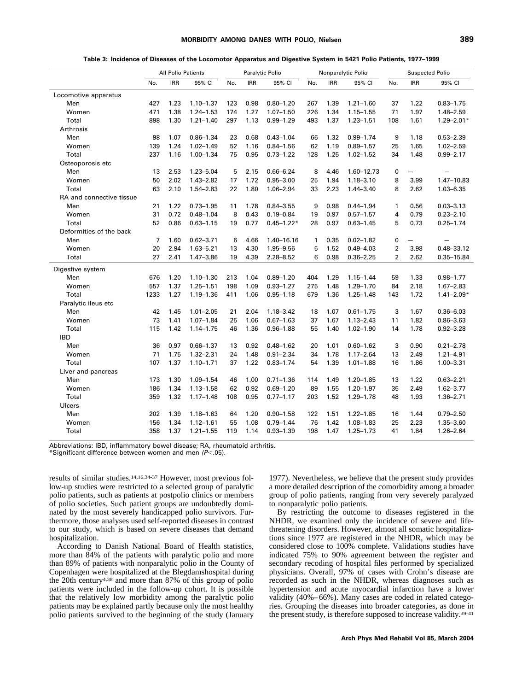| Table 3: Incidence of Diseases of the Locomotor Apparatus and Digestive System in 5421 Polio Patients, 1977–1999 |  |  |  |  |
|------------------------------------------------------------------------------------------------------------------|--|--|--|--|
|                                                                                                                  |  |  |  |  |

|                          | <b>All Polio Patients</b> |            |               | Paralytic Polio |            |                |     | Nonparalytic Polio | <b>Suspected Polio</b> |                |                          |                |
|--------------------------|---------------------------|------------|---------------|-----------------|------------|----------------|-----|--------------------|------------------------|----------------|--------------------------|----------------|
|                          | No.                       | <b>IRR</b> | 95% CI        | No.             | <b>IRR</b> | 95% CI         | No. | <b>IRR</b>         | 95% CI                 | No.            | <b>IRR</b>               | 95% CI         |
| Locomotive apparatus     |                           |            |               |                 |            |                |     |                    |                        |                |                          |                |
| Men                      | 427                       | 1.23       | $1.10 - 1.37$ | 123             | 0.98       | $0.80 - 1.20$  | 267 | 1.39               | $1.21 - 1.60$          | 37             | 1.22                     | $0.83 - 1.75$  |
| Women                    | 471                       | 1.38       | $1.24 - 1.53$ | 174             | 1.27       | $1.07 - 1.50$  | 226 | 1.34               | $1.15 - 1.55$          | 71             | 1.97                     | 1.48-2.59      |
| Total                    | 898                       | 1.30       | $1.21 - 1.40$ | 297             | 1.13       | $0.99 - 1.29$  | 493 | 1.37               | $1.23 - 1.51$          | 108            | 1.61                     | $1.29 - 2.01*$ |
| Arthrosis                |                           |            |               |                 |            |                |     |                    |                        |                |                          |                |
| Men                      | 98                        | 1.07       | $0.86 - 1.34$ | 23              | 0.68       | $0.43 - 1.04$  | 66  | 1.32               | $0.99 - 1.74$          | 9              | 1.18                     | $0.53 - 2.39$  |
| Women                    | 139                       | 1.24       | $1.02 - 1.49$ | 52              | 1.16       | $0.84 - 1.56$  | 62  | 1.19               | $0.89 - 1.57$          | 25             | 1.65                     | $1.02 - 2.59$  |
| Total                    | 237                       | 1.16       | $1.00 - 1.34$ | 75              | 0.95       | $0.73 - 1.22$  | 128 | 1.25               | $1.02 - 1.52$          | 34             | 1.48                     | $0.99 - 2.17$  |
| Osteoporosis etc         |                           |            |               |                 |            |                |     |                    |                        |                |                          |                |
| Men                      | 13                        | 2.53       | $1.23 - 5.04$ | 5               | 2.15       | $0.66 - 6.24$  | 8   | 4.46               | 1.60-12.73             | 0              | $\overline{\phantom{0}}$ |                |
| Women                    | 50                        | 2.02       | $1.43 - 2.82$ | 17              | 1.72       | $0.95 - 3.00$  | 25  | 1.94               | $1.18 - 3.10$          | 8              | 3.99                     | 1.47-10.83     |
| Total                    | 63                        | 2.10       | 1.54-2.83     | 22              | 1.80       | $1.06 - 2.94$  | 33  | 2.23               | $1.44 - 3.40$          | 8              | 2.62                     | $1.03 - 6.35$  |
| RA and connective tissue |                           |            |               |                 |            |                |     |                    |                        |                |                          |                |
| Men                      | 21                        | 1.22       | $0.73 - 1.95$ | 11              | 1.78       | $0.84 - 3.55$  | 9   | 0.98               | $0.44 - 1.94$          | $\mathbf{1}$   | 0.56                     | $0.03 - 3.13$  |
| Women                    | 31                        | 0.72       | $0.48 - 1.04$ | 8               | 0.43       | $0.19 - 0.84$  | 19  | 0.97               | $0.57 - 1.57$          | 4              | 0.79                     | $0.23 - 2.10$  |
| Total                    | 52                        | 0.86       | $0.63 - 1.15$ | 19              | 0.77       | $0.45 - 1.22*$ | 28  | 0.97               | $0.63 - 1.45$          | 5              | 0.73                     | $0.25 - 1.74$  |
| Deformities of the back  |                           |            |               |                 |            |                |     |                    |                        |                |                          |                |
| Men                      | 7                         | 1.60       | $0.62 - 3.71$ | 6               | 4.66       | 1.40-16.16     | 1   | 0.35               | $0.02 - 1.82$          | 0              |                          |                |
| Women                    | 20                        | 2.94       | $1.63 - 5.21$ | 13              | 4.30       | 1.95-9.56      | 5   | 1.52               | $0.49 - 4.03$          | $\overline{2}$ | 3.98                     | 0.48-33.12     |
| Total                    | 27                        | 2.41       | $1.47 - 3.86$ | 19              | 4.39       | $2.28 - 8.52$  | 6   | 0.98               | $0.36 - 2.25$          | $\overline{2}$ | 2.62                     | 0.35-15.84     |
| Digestive system         |                           |            |               |                 |            |                |     |                    |                        |                |                          |                |
| Men                      | 676                       | 1.20       | $1.10 - 1.30$ | 213             | 1.04       | $0.89 - 1.20$  | 404 | 1.29               | $1.15 - 1.44$          | 59             | 1.33                     | $0.98 - 1.77$  |
| Women                    | 557                       | 1.37       | $1.25 - 1.51$ | 198             | 1.09       | $0.93 - 1.27$  | 275 | 1.48               | 1.29-1.70              | 84             | 2.18                     | $1.67 - 2.83$  |
| Total                    | 1233                      | 1.27       | 1.19-1.36     | 411             | 1.06       | $0.95 - 1.18$  | 679 | 1.36               | $1.25 - 1.48$          | 143            | 1.72                     | $1.41 - 2.09*$ |
| Paralytic ileus etc      |                           |            |               |                 |            |                |     |                    |                        |                |                          |                |
| Men                      | 42                        | 1.45       | $1.01 - 2.05$ | 21              | 2.04       | 1.18-3.42      | 18  | 1.07               | $0.61 - 1.75$          | 3              | 1.67                     | $0.36 - 6.03$  |
| Women                    | 73                        | 1.41       | $1.07 - 1.84$ | 25              | 1.06       | $0.67 - 1.63$  | 37  | 1.67               | $1.13 - 2.43$          | 11             | 1.82                     | $0.86 - 3.63$  |
| Total                    | 115                       | 1.42       | 1.14-1.75     | 46              | 1.36       | $0.96 - 1.88$  | 55  | 1.40               | $1.02 - 1.90$          | 14             | 1.78                     | $0.92 - 3.28$  |
| <b>IBD</b>               |                           |            |               |                 |            |                |     |                    |                        |                |                          |                |
| Men                      | 36                        | 0.97       | $0.66 - 1.37$ | 13              | 0.92       | $0.48 - 1.62$  | 20  | 1.01               | $0.60 - 1.62$          | 3              | 0.90                     | $0.21 - 2.78$  |
| Women                    | 71                        | 1.75       | $1.32 - 2.31$ | 24              | 1.48       | $0.91 - 2.34$  | 34  | 1.78               | $1.17 - 2.64$          | 13             | 2.49                     | $1.21 - 4.91$  |
| Total                    | 107                       | 1.37       | $1.10 - 1.71$ | 37              | 1.22       | $0.83 - 1.74$  | 54  | 1.39               | $1.01 - 1.88$          | 16             | 1.86                     | 1.00-3.31      |
| Liver and pancreas       |                           |            |               |                 |            |                |     |                    |                        |                |                          |                |
| Men                      | 173                       | 1.30       | 1.09-1.54     | 46              | 1.00       | $0.71 - 1.36$  | 114 | 1.49               | 1.20-1.85              | 13             | 1.22                     | $0.63 - 2.21$  |
| Women                    | 186                       | 1.34       | $1.13 - 1.58$ | 62              | 0.92       | $0.69 - 1.20$  | 89  | 1.55               | $1.20 - 1.97$          | 35             | 2.49                     | $1.62 - 3.77$  |
| Total                    | 359                       | 1.32       | $1.17 - 1.48$ | 108             | 0.95       | $0.77 - 1.17$  | 203 | 1.52               | 1.29-1.78              | 48             | 1.93                     | 1.36-2.71      |
| Ulcers                   |                           |            |               |                 |            |                |     |                    |                        |                |                          |                |
| Men                      | 202                       | 1.39       | $1.18 - 1.63$ | 64              | 1.20       | $0.90 - 1.58$  | 122 | 1.51               | $1.22 - 1.85$          | 16             | 1.44                     | $0.79 - 2.50$  |
| Women                    | 156                       | 1.34       | $1.12 - 1.61$ | 55              | 1.08       | $0.79 - 1.44$  | 76  | 1.42               | 1.08-1.83              | 25             | 2.23                     | 1.35-3.60      |
| Total                    | 358                       | 1.37       | $1.21 - 1.55$ | 119             | 1.14       | $0.93 - 1.39$  | 198 | 1.47               | $1.25 - 1.73$          | 41             | 1.84                     | $1.26 - 2.64$  |

Abbreviations: IBD, inflammatory bowel disease; RA, rheumatoid arthritis.

\*Significant difference between women and men *(P*-.05).

results of similar studies.14,16,34-37 However, most previous follow-up studies were restricted to a selected group of paralytic polio patients, such as patients at postpolio clinics or members of polio societies. Such patient groups are undoubtedly dominated by the most severely handicapped polio survivors. Furthermore, those analyses used self-reported diseases in contrast to our study, which is based on severe diseases that demand hospitalization.

According to Danish National Board of Health statistics, more than 84% of the patients with paralytic polio and more than 89% of patients with nonparalytic polio in the County of Copenhagen were hospitalized at the Blegdamshospital during the 20th century4,38 and more than 87% of this group of polio patients were included in the follow-up cohort. It is possible that the relatively low morbidity among the paralytic polio patients may be explained partly because only the most healthy polio patients survived to the beginning of the study (January

1977). Nevertheless, we believe that the present study provides a more detailed description of the comorbidity among a broader group of polio patients, ranging from very severely paralyzed to nonparalytic polio patients.

By restricting the outcome to diseases registered in the NHDR, we examined only the incidence of severe and lifethreatening disorders. However, almost all somatic hospitalizations since 1977 are registered in the NHDR, which may be considered close to 100% complete. Validations studies have indicated 75% to 90% agreement between the register and secondary recoding of hospital files performed by specialized physicians. Overall, 97% of cases with Crohn's disease are recorded as such in the NHDR, whereas diagnoses such as hypertension and acute myocardial infarction have a lower validity (40%–66%). Many cases are coded in related categories. Grouping the diseases into broader categories, as done in the present study, is therefore supposed to increase validity.39-41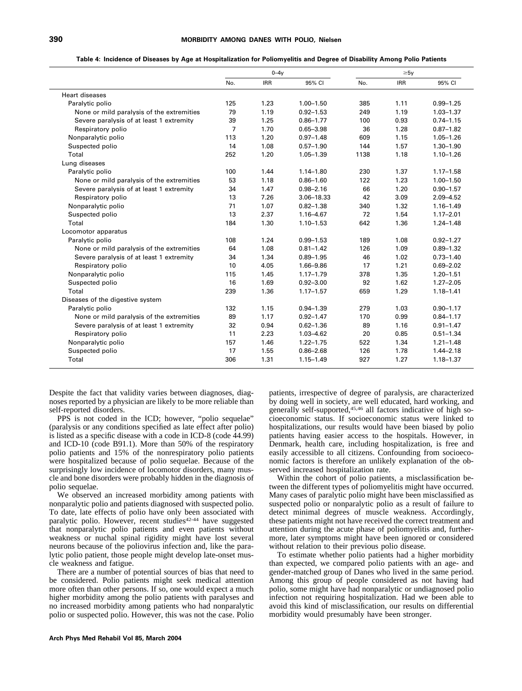#### **Table 4: Incidence of Diseases by Age at Hospitalization for Poliomyelitis and Degree of Disability Among Polio Patients**

|                                           | $0-4v$         |            |               |      | $\geq 5v$  |               |
|-------------------------------------------|----------------|------------|---------------|------|------------|---------------|
|                                           | No.            | <b>IRR</b> | 95% CI        | No.  | <b>IRR</b> | 95% CI        |
| <b>Heart diseases</b>                     |                |            |               |      |            |               |
| Paralytic polio                           | 125            | 1.23       | $1.00 - 1.50$ | 385  | 1.11       | $0.99 - 1.25$ |
| None or mild paralysis of the extremities | 79             | 1.19       | $0.92 - 1.53$ | 249  | 1.19       | $1.03 - 1.37$ |
| Severe paralysis of at least 1 extremity  | 39             | 1.25       | $0.86 - 1.77$ | 100  | 0.93       | $0.74 - 1.15$ |
| Respiratory polio                         | $\overline{7}$ | 1.70       | $0.65 - 3.98$ | 36   | 1.28       | $0.87 - 1.82$ |
| Nonparalytic polio                        | 113            | 1.20       | $0.97 - 1.48$ | 609  | 1.15       | $1.05 - 1.26$ |
| Suspected polio                           | 14             | 1.08       | $0.57 - 1.90$ | 144  | 1.57       | $1.30 - 1.90$ |
| Total                                     | 252            | 1.20       | $1.05 - 1.39$ | 1138 | 1.18       | $1.10 - 1.26$ |
| Lung diseases                             |                |            |               |      |            |               |
| Paralytic polio                           | 100            | 1.44       | $1.14 - 1.80$ | 230  | 1.37       | $1.17 - 1.58$ |
| None or mild paralysis of the extremities | 53             | 1.18       | $0.86 - 1.60$ | 122  | 1.23       | $1.00 - 1.50$ |
| Severe paralysis of at least 1 extremity  | 34             | 1.47       | $0.98 - 2.16$ | 66   | 1.20       | $0.90 - 1.57$ |
| Respiratory polio                         | 13             | 7.26       | 3.06-18.33    | 42   | 3.09       | $2.09 - 4.52$ |
| Nonparalytic polio                        | 71             | 1.07       | $0.82 - 1.38$ | 340  | 1.32       | $1.16 - 1.49$ |
| Suspected polio                           | 13             | 2.37       | 1.16-4.67     | 72   | 1.54       | $1.17 - 2.01$ |
| Total                                     | 184            | 1.30       | $1.10 - 1.53$ | 642  | 1.36       | $1.24 - 1.48$ |
| Locomotor apparatus                       |                |            |               |      |            |               |
| Paralytic polio                           | 108            | 1.24       | $0.99 - 1.53$ | 189  | 1.08       | $0.92 - 1.27$ |
| None or mild paralysis of the extremities | 64             | 1.08       | $0.81 - 1.42$ | 126  | 1.09       | $0.89 - 1.32$ |
| Severe paralysis of at least 1 extremity  | 34             | 1.34       | $0.89 - 1.95$ | 46   | 1.02       | $0.73 - 1.40$ |
| Respiratory polio                         | 10             | 4.05       | 1.66-9.86     | 17   | 1.21       | $0.69 - 2.02$ |
| Nonparalytic polio                        | 115            | 1.45       | $1.17 - 1.79$ | 378  | 1.35       | $1.20 - 1.51$ |
| Suspected polio                           | 16             | 1.69       | $0.92 - 3.00$ | 92   | 1.62       | $1.27 - 2.05$ |
| Total                                     | 239            | 1.36       | $1.17 - 1.57$ | 659  | 1.29       | $1.18 - 1.41$ |
| Diseases of the digestive system          |                |            |               |      |            |               |
| Paralytic polio                           | 132            | 1.15       | $0.94 - 1.39$ | 279  | 1.03       | $0.90 - 1.17$ |
| None or mild paralysis of the extremities | 89             | 1.17       | $0.92 - 1.47$ | 170  | 0.99       | $0.84 - 1.17$ |
| Severe paralysis of at least 1 extremity  | 32             | 0.94       | $0.62 - 1.36$ | 89   | 1.16       | $0.91 - 1.47$ |
| Respiratory polio                         | 11             | 2.23       | 1.03-4.62     | 20   | 0.85       | $0.51 - 1.34$ |
| Nonparalytic polio                        | 157            | 1.46       | $1.22 - 1.75$ | 522  | 1.34       | $1.21 - 1.48$ |
| Suspected polio                           | 17             | 1.55       | $0.86 - 2.68$ | 126  | 1.78       | $1.44 - 2.18$ |
| Total                                     | 306            | 1.31       | $1.15 - 1.49$ | 927  | 1.27       | $1.18 - 1.37$ |

Despite the fact that validity varies between diagnoses, diagnoses reported by a physician are likely to be more reliable than self-reported disorders.

PPS is not coded in the ICD; however, "polio sequelae" (paralysis or any conditions specified as late effect after polio) is listed as a specific disease with a code in ICD-8 (code 44.99) and ICD-10 (code B91.1). More than 50% of the respiratory polio patients and 15% of the nonrespiratory polio patients were hospitalized because of polio sequelae. Because of the surprisingly low incidence of locomotor disorders, many muscle and bone disorders were probably hidden in the diagnosis of polio sequelae.

We observed an increased morbidity among patients with nonparalytic polio and patients diagnosed with suspected polio. To date, late effects of polio have only been associated with paralytic polio. However, recent studies<sup>42-44</sup> have suggested that nonparalytic polio patients and even patients without weakness or nuchal spinal rigidity might have lost several neurons because of the poliovirus infection and, like the paralytic polio patient, those people might develop late-onset muscle weakness and fatigue.

There are a number of potential sources of bias that need to be considered. Polio patients might seek medical attention more often than other persons. If so, one would expect a much higher morbidity among the polio patients with paralyses and no increased morbidity among patients who had nonparalytic polio or suspected polio. However, this was not the case. Polio patients, irrespective of degree of paralysis, are characterized by doing well in society, are well educated, hard working, and generally self-supported,45,46 all factors indicative of high socioeconomic status. If socioeconomic status were linked to hospitalizations, our results would have been biased by polio patients having easier access to the hospitals. However, in Denmark, health care, including hospitalization, is free and easily accessible to all citizens. Confounding from socioeconomic factors is therefore an unlikely explanation of the observed increased hospitalization rate.

Within the cohort of polio patients, a misclassification between the different types of poliomyelitis might have occurred. Many cases of paralytic polio might have been misclassified as suspected polio or nonparalytic polio as a result of failure to detect minimal degrees of muscle weakness. Accordingly, these patients might not have received the correct treatment and attention during the acute phase of poliomyelitis and, furthermore, later symptoms might have been ignored or considered without relation to their previous polio disease.

To estimate whether polio patients had a higher morbidity than expected, we compared polio patients with an age- and gender-matched group of Danes who lived in the same period. Among this group of people considered as not having had polio, some might have had nonparalytic or undiagnosed polio infection not requiring hospitalization. Had we been able to avoid this kind of misclassification, our results on differential morbidity would presumably have been stronger.